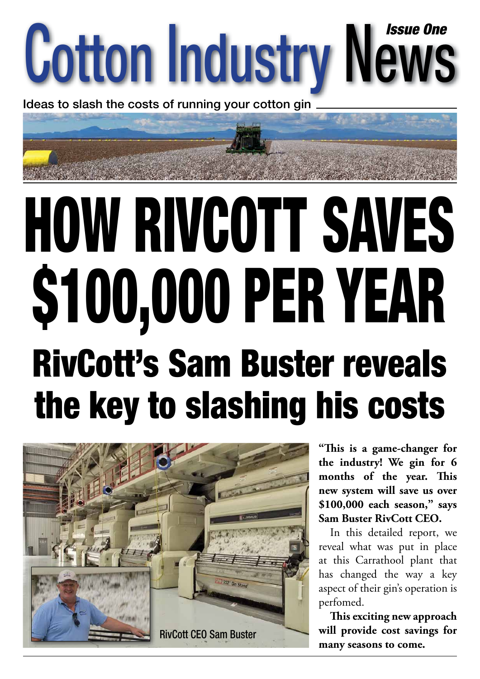

Ideas to slash the costs of running your cotton gin

## HOW RIVCOTT SAVES \$100,000 PER YEAR RivCott's Sam Buster reveals the key to slashing his costs



**"Th is is a game-changer for the industry! We gin for 6**  months of the year. This **new system will save us over \$100,000 each season," says Sam Buster RivCott CEO.**

In this detailed report, we reveal what was put in place at this Carrathool plant that has changed the way a key aspect of their gin's operation is perfomed.

This exciting new approach **will provide cost savings for many seasons to come.**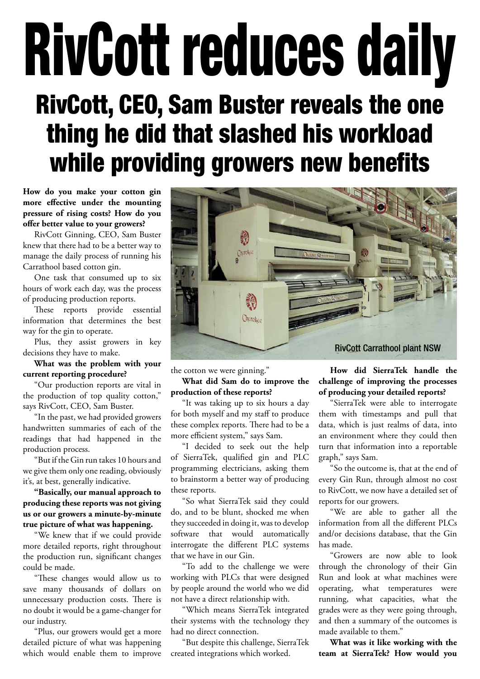### RivCott reduces daily RivCott, CEO, Sam Buster reveals the one thing he did that slashed his workload while providing growers new benefits

**How do you make your cotton gin more effective under the mounting pressure of rising costs? How do you offer better value to your growers?**

RivCott Ginning, CEO, Sam Buster knew that there had to be a better way to manage the daily process of running his Carrathool based cotton gin.

One task that consumed up to six hours of work each day, was the process of producing production reports.

These reports provide essential information that determines the best way for the gin to operate.

Plus, they assist growers in key decisions they have to make.

### **What was the problem with your current reporting procedure?**

"Our production reports are vital in the production of top quality cotton," says RivCott, CEO, Sam Buster.

"In the past, we had provided growers handwritten summaries of each of the readings that had happened in the production process.

"But if the Gin run takes 10 hours and we give them only one reading, obviously it's, at best, generally indicative.

### **"Basically, our manual approach to producing these reports was not giving us or our growers a minute-by-minute true picture of what was happening.**

"We knew that if we could provide more detailed reports, right throughout the production run, significant changes could be made.

"These changes would allow us to save many thousands of dollars on unnecessary production costs. There is no doubt it would be a game-changer for our industry.

"Plus, our growers would get a more detailed picture of what was happening which would enable them to improve



the cotton we were ginning."

**What did Sam do to improve the production of these reports?**

"It was taking up to six hours a day for both myself and my staff to produce these complex reports. There had to be a more efficient system," says Sam.

"I decided to seek out the help of SierraTek, qualified gin and PLC programming electricians, asking them to brainstorm a better way of producing these reports.

"So what SierraTek said they could do, and to be blunt, shocked me when they succeeded in doing it, was to develop software that would automatically interrogate the different PLC systems that we have in our Gin.

"To add to the challenge we were working with PLCs that were designed by people around the world who we did not have a direct relationship with.

"Which means SierraTek integrated their systems with the technology they had no direct connection.

"But despite this challenge, SierraTek created integrations which worked.

**How did SierraTek handle the challenge of improving the processes of producing your detailed reports?**

"SierraTek were able to interrogate them with timestamps and pull that data, which is just realms of data, into an environment where they could then turn that information into a reportable graph," says Sam.

"So the outcome is, that at the end of every Gin Run, through almost no cost to RivCott, we now have a detailed set of reports for our growers.

"We are able to gather all the information from all the different PLCs and/or decisions database, that the Gin has made.

"Growers are now able to look through the chronology of their Gin Run and look at what machines were operating, what temperatures were running, what capacities, what the grades were as they were going through, and then a summary of the outcomes is made available to them."

**What was it like working with the team at SierraTek? How would you**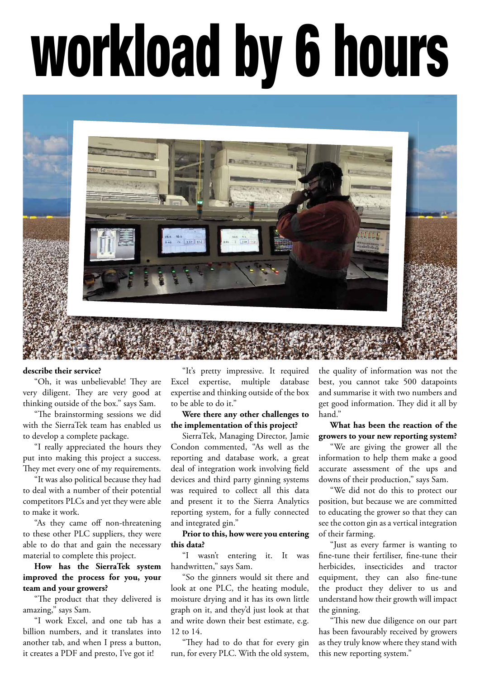# workload by 6 hours



### **describe their service?**

"Oh, it was unbelievable! They are very diligent. They are very good at thinking outside of the box." says Sam.

"The brainstorming sessions we did with the SierraTek team has enabled us to develop a complete package.

"I really appreciated the hours they put into making this project a success. They met every one of my requirements.

"It was also political because they had to deal with a number of their potential competitors PLCs and yet they were able to make it work.

"As they came off non-threatening to these other PLC suppliers, they were able to do that and gain the necessary material to complete this project.

**How has the SierraTek system improved the process for you, your team and your growers?**

"The product that they delivered is amazing," says Sam.

"I work Excel, and one tab has a billion numbers, and it translates into another tab, and when I press a button, it creates a PDF and presto, I've got it!

"It's pretty impressive. It required Excel expertise, multiple database expertise and thinking outside of the box to be able to do it."

### **Were there any other challenges to the implementation of this project?**

SierraTek, Managing Director, Jamie Condon commented, "As well as the reporting and database work, a great deal of integration work involving field devices and third party ginning systems was required to collect all this data and present it to the Sierra Analytics reporting system, for a fully connected and integrated gin."

**Prior to this, how were you entering this data?**

"I wasn't entering it. It was handwritten," says Sam.

"So the ginners would sit there and look at one PLC, the heating module, moisture drying and it has its own little graph on it, and they'd just look at that and write down their best estimate, e.g. 12 to 14.

"They had to do that for every gin run, for every PLC. With the old system, the quality of information was not the best, you cannot take 500 datapoints and summarise it with two numbers and get good information. They did it all by hand"

### **What has been the reaction of the growers to your new reporting system?**

"We are giving the grower all the information to help them make a good accurate assessment of the ups and downs of their production," says Sam.

"We did not do this to protect our position, but because we are committed to educating the grower so that they can see the cotton gin as a vertical integration of their farming.

"Just as every farmer is wanting to fine-tune their fertiliser, fine-tune their herbicides, insecticides and tractor equipment, they can also fine-tune the product they deliver to us and understand how their growth will impact the ginning.

"This new due diligence on our part has been favourably received by growers as they truly know where they stand with this new reporting system."